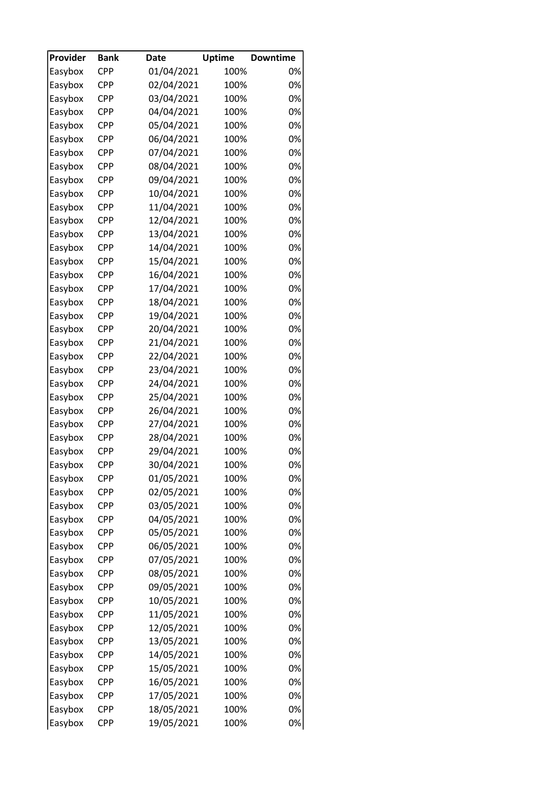| Provider | <b>Bank</b>       | <b>Date</b> | <b>Uptime</b> | <b>Downtime</b> |
|----------|-------------------|-------------|---------------|-----------------|
| Easybox  | <b>CPP</b>        | 01/04/2021  | 100%          | 0%              |
| Easybox  | <b>CPP</b>        | 02/04/2021  | 100%          | 0%              |
| Easybox  | <b>CPP</b>        | 03/04/2021  | 100%          | 0%              |
| Easybox  | <b>CPP</b>        | 04/04/2021  | 100%          | 0%              |
| Easybox  | <b>CPP</b>        | 05/04/2021  | 100%          | 0%              |
| Easybox  | <b>CPP</b>        | 06/04/2021  | 100%          | 0%              |
| Easybox  | <b>CPP</b>        | 07/04/2021  | 100%          | 0%              |
| Easybox  | <b>CPP</b>        | 08/04/2021  | 100%          | 0%              |
| Easybox  | <b>CPP</b>        | 09/04/2021  | 100%          | 0%              |
| Easybox  | <b>CPP</b>        | 10/04/2021  | 100%          | 0%              |
| Easybox  | <b>CPP</b>        | 11/04/2021  | 100%          | 0%              |
| Easybox  | <b>CPP</b>        | 12/04/2021  | 100%          | 0%              |
| Easybox  | <b>CPP</b>        | 13/04/2021  | 100%          | 0%              |
| Easybox  | <b>CPP</b>        | 14/04/2021  | 100%          | 0%              |
| Easybox  | <b>CPP</b>        | 15/04/2021  | 100%          | 0%              |
| Easybox  | <b>CPP</b>        | 16/04/2021  | 100%          | 0%              |
| Easybox  | <b>CPP</b>        | 17/04/2021  | 100%          | 0%              |
| Easybox  | <b>CPP</b>        | 18/04/2021  | 100%          | 0%              |
| Easybox  | <b>CPP</b>        | 19/04/2021  | 100%          | 0%              |
| Easybox  | <b>CPP</b>        | 20/04/2021  | 100%          | 0%              |
| Easybox  | <b>CPP</b>        | 21/04/2021  | 100%          | 0%              |
| Easybox  | <b>CPP</b>        | 22/04/2021  | 100%          | 0%              |
| Easybox  | <b>CPP</b>        | 23/04/2021  | 100%          | 0%              |
| Easybox  | <b>CPP</b>        | 24/04/2021  | 100%          | 0%              |
|          | <b>CPP</b>        | 25/04/2021  | 100%          | 0%              |
| Easybox  |                   |             |               | 0%              |
| Easybox  | CPP<br><b>CPP</b> | 26/04/2021  | 100%          | 0%              |
| Easybox  |                   | 27/04/2021  | 100%          |                 |
| Easybox  | <b>CPP</b>        | 28/04/2021  | 100%          | 0%              |
| Easybox  | <b>CPP</b>        | 29/04/2021  | 100%          | 0%              |
| Easybox  | <b>CPP</b>        | 30/04/2021  | 100%          | 0%              |
| Easybox  | <b>CPP</b>        | 01/05/2021  | 100%          | 0%              |
| Easybox  | CPP               | 02/05/2021  | 100%          | 0%              |
| Easybox  | CPP               | 03/05/2021  | 100%          | 0%              |
| Easybox  | <b>CPP</b>        | 04/05/2021  | 100%          | 0%              |
| Easybox  | CPP               | 05/05/2021  | 100%          | 0%              |
| Easybox  | CPP               | 06/05/2021  | 100%          | 0%              |
| Easybox  | <b>CPP</b>        | 07/05/2021  | 100%          | 0%              |
| Easybox  | CPP               | 08/05/2021  | 100%          | 0%              |
| Easybox  | CPP               | 09/05/2021  | 100%          | 0%              |
| Easybox  | CPP               | 10/05/2021  | 100%          | 0%              |
| Easybox  | <b>CPP</b>        | 11/05/2021  | 100%          | 0%              |
| Easybox  | CPP               | 12/05/2021  | 100%          | 0%              |
| Easybox  | <b>CPP</b>        | 13/05/2021  | 100%          | 0%              |
| Easybox  | <b>CPP</b>        | 14/05/2021  | 100%          | 0%              |
| Easybox  | <b>CPP</b>        | 15/05/2021  | 100%          | 0%              |
| Easybox  | CPP               | 16/05/2021  | 100%          | 0%              |
| Easybox  | <b>CPP</b>        | 17/05/2021  | 100%          | 0%              |
| Easybox  | <b>CPP</b>        | 18/05/2021  | 100%          | 0%              |
| Easybox  | <b>CPP</b>        | 19/05/2021  | 100%          | 0%              |